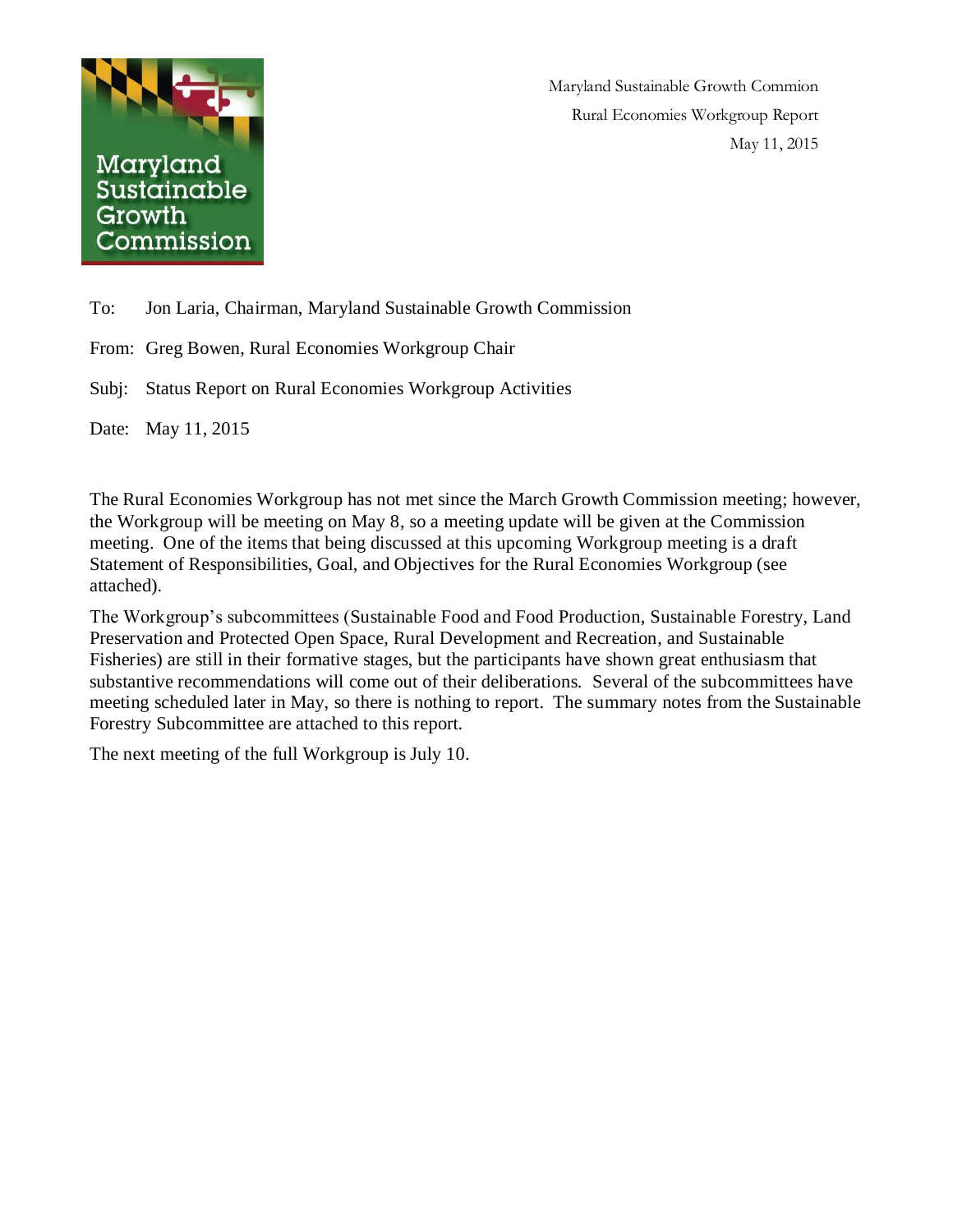

Maryland Sustainable Growth Commion Rural Economies Workgroup Report May 11, 2015

To: Jon Laria, Chairman, Maryland Sustainable Growth Commission

From: Greg Bowen, Rural Economies Workgroup Chair

Subj: Status Report on Rural Economies Workgroup Activities

Date: May 11, 2015

The Rural Economies Workgroup has not met since the March Growth Commission meeting; however, the Workgroup will be meeting on May 8, so a meeting update will be given at the Commission meeting. One of the items that being discussed at this upcoming Workgroup meeting is a draft Statement of Responsibilities, Goal, and Objectives for the Rural Economies Workgroup (see attached).

The Workgroup's subcommittees (Sustainable Food and Food Production, Sustainable Forestry, Land Preservation and Protected Open Space, Rural Development and Recreation, and Sustainable Fisheries) are still in their formative stages, but the participants have shown great enthusiasm that substantive recommendations will come out of their deliberations. Several of the subcommittees have meeting scheduled later in May, so there is nothing to report. The summary notes from the Sustainable Forestry Subcommittee are attached to this report.

The next meeting of the full Workgroup is July 10.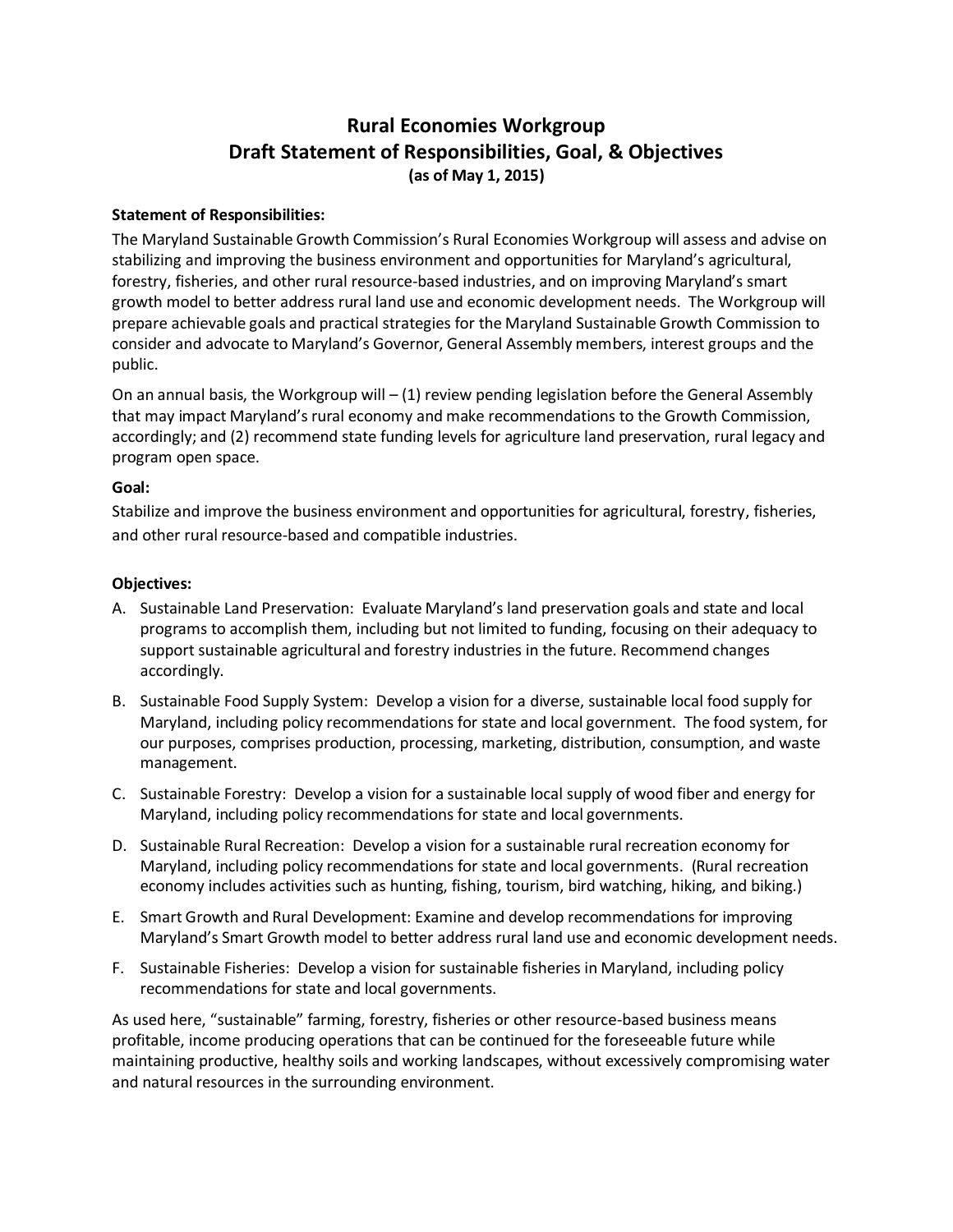## **Rural Economies Workgroup Draft Statement of Responsibilities, Goal, & Objectives (as of May 1, 2015)**

## **Statement of Responsibilities:**

The Maryland Sustainable Growth Commission's Rural Economies Workgroup will assess and advise on stabilizing and improving the business environment and opportunities for Maryland's agricultural, forestry, fisheries, and other rural resource-based industries, and on improving Maryland's smart growth model to better address rural land use and economic development needs. The Workgroup will prepare achievable goals and practical strategies for the Maryland Sustainable Growth Commission to consider and advocate to Maryland's Governor, General Assembly members, interest groups and the public.

On an annual basis, the Workgroup will  $-$  (1) review pending legislation before the General Assembly that may impact Maryland's rural economy and make recommendations to the Growth Commission, accordingly; and (2) recommend state funding levels for agriculture land preservation, rural legacy and program open space.

## **Goal:**

Stabilize and improve the business environment and opportunities for agricultural, forestry, fisheries, and other rural resource-based and compatible industries.

## **Objectives:**

- A. Sustainable Land Preservation: Evaluate Maryland's land preservation goals and state and local programs to accomplish them, including but not limited to funding, focusing on their adequacy to support sustainable agricultural and forestry industries in the future. Recommend changes accordingly.
- B. Sustainable Food Supply System: Develop a vision for a diverse, sustainable local food supply for Maryland, including policy recommendations for state and local government. The food system, for our purposes, comprises production, processing, marketing, distribution, consumption, and waste management.
- C. Sustainable Forestry: Develop a vision for a sustainable local supply of wood fiber and energy for Maryland, including policy recommendations for state and local governments.
- D. Sustainable Rural Recreation: Develop a vision for a sustainable rural recreation economy for Maryland, including policy recommendations for state and local governments. (Rural recreation economy includes activities such as hunting, fishing, tourism, bird watching, hiking, and biking.)
- E. Smart Growth and Rural Development: Examine and develop recommendations for improving Maryland's Smart Growth model to better address rural land use and economic development needs.
- F. Sustainable Fisheries: Develop a vision for sustainable fisheries in Maryland, including policy recommendations for state and local governments.

As used here, "sustainable" farming, forestry, fisheries or other resource-based business means profitable, income producing operations that can be continued for the foreseeable future while maintaining productive, healthy soils and working landscapes, without excessively compromising water and natural resources in the surrounding environment.